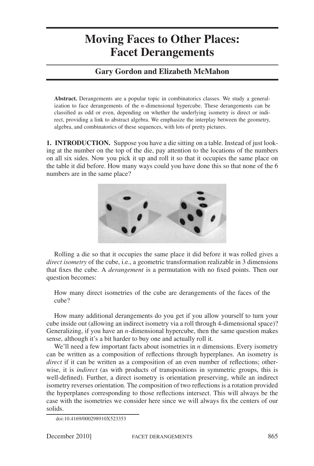# **Moving Faces to Other Places: Facet Derangements**

## **Gary Gordon and Elizabeth McMahon**

**Abstract.** Derangements are a popular topic in combinatorics classes. We study a generalization to face derangements of the *n*-dimensional hypercube. These derangements can be classified as odd or even, depending on whether the underlying isometry is direct or indirect, providing a link to abstract algebra. We emphasize the interplay between the geometry, algebra, and combinatorics of these sequences, with lots of pretty pictures.

**1. INTRODUCTION.** Suppose you have a die sitting on a table. Instead of just looking at the number on the top of the die, pay attention to the locations of the numbers on all six sides. Now you pick it up and roll it so that it occupies the same place on the table it did before. How many ways could you have done this so that none of the 6 numbers are in the same place?



Rolling a die so that it occupies the same place it did before it was rolled gives a *direct isometry* of the cube, i.e., a geometric transformation realizable in 3 dimensions that fixes the cube. A *derangement* is a permutation with no fixed points. Then our question becomes:

How many direct isometries of the cube are derangements of the faces of the cube?

How many additional derangements do you get if you allow yourself to turn your cube inside out (allowing an indirect isometry via a roll through 4-dimensional space)? Generalizing, if you have an *n*-dimensional hypercube, then the same question makes sense, although it's a bit harder to buy one and actually roll it.

We'll need a few important facts about isometries in *n* dimensions. Every isometry can be written as a composition of reflections through hyperplanes. An isometry is *direct* if it can be written as a composition of an even number of reflections; otherwise, it is *indirect* (as with products of transpositions in symmetric groups, this is well-defined). Further, a direct isometry is orientation preserving, while an indirect isometry reverses orientation. The composition of two reflections is a rotation provided the hyperplanes corresponding to those reflections intersect. This will always be the case with the isometries we consider here since we will always fix the centers of our solids.

doi:10.4169/000298910X523353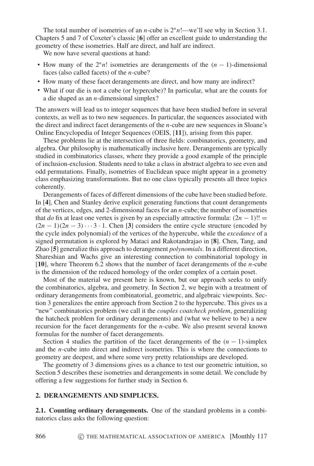The total number of isometries of an *n*-cube is  $2<sup>n</sup>n!$ —we'll see why in Section 3.1. Chapters 5 and 7 of Coxeter's classic [**6**] offer an excellent guide to understanding the geometry of these isometries. Half are direct, and half are indirect.

We now have several questions at hand:

- How many of the 2*nn*! isometries are derangements of the (*n* − 1)-dimensional faces (also called facets) of the *n*-cube?
- How many of these facet derangements are direct, and how many are indirect?
- What if our die is not a cube (or hypercube)? In particular, what are the counts for a die shaped as an *n*-dimensional simplex?

The answers will lead us to integer sequences that have been studied before in several contexts, as well as to two new sequences. In particular, the sequences associated with the direct and indirect facet derangements of the *n*-cube are new sequences in Sloane's Online Encyclopedia of Integer Sequences (OEIS, [**11**]), arising from this paper.

These problems lie at the intersection of three fields: combinatorics, geometry, and algebra. Our philosophy is mathematically inclusive here. Derangements are typically studied in combinatorics classes, where they provide a good example of the principle of inclusion-exclusion. Students need to take a class in abstract algebra to see even and odd permutations. Finally, isometries of Euclidean space might appear in a geometry class emphasizing transformations. But no one class typically presents all three topics coherently.

Derangements of faces of different dimensions of the cube have been studied before. In [**4**], Chen and Stanley derive explicit generating functions that count derangements of the vertices, edges, and 2-dimensional faces for an *n*-cube; the number of isometries that *do* fix at least one vertex is given by an especially attractive formula:  $(2n - 1)!!$  =  $(2n - 1)(2n - 3) \cdot \cdot \cdot$  3 · 1. Chen [3] considers the entire cycle structure (encoded by the cycle index polynomial) of the vertices of the hypercube, while the *excedance* of a signed permutation is explored by Mataci and Rakotandrajao in [**8**]. Chen, Tang, and Zhao [**5**] generalize this approach to derangement *polynomials*. In a different direction, Shareshian and Wachs give an interesting connection to combinatorial topology in [**10**], where Theorem 6.2 shows that the number of facet derangements of the *n*-cube is the dimension of the reduced homology of the order complex of a certain poset.

Most of the material we present here is known, but our approach seeks to unify the combinatorics, algebra, and geometry. In Section 2, we begin with a treatment of ordinary derangements from combinatorial, geometric, and algebraic viewpoints. Section 3 generalizes the entire approach from Section 2 to the hypercube. This gives us a "new" combinatorics problem (we call it the *couples coatcheck problem*, generalizing the hatcheck problem for ordinary derangements) and (what we believe to be) a new recursion for the facet derangements for the *n*-cube. We also present several known formulas for the number of facet derangements.

Section 4 studies the partition of the facet derangements of the  $(n - 1)$ -simplex and the *n*-cube into direct and indirect isometries. This is where the connections to geometry are deepest, and where some very pretty relationships are developed.

The geometry of 3 dimensions gives us a chance to test our geometric intuition, so Section 5 describes these isometries and derangements in some detail. We conclude by offering a few suggestions for further study in Section 6.

#### **2. DERANGEMENTS AND SIMPLICES.**

**2.1. Counting ordinary derangements.** One of the standard problems in a combinatorics class asks the following question: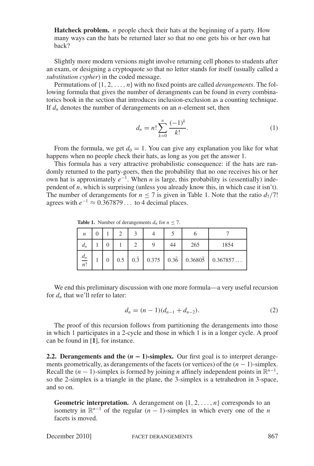**Hatcheck problem.** *n* people check their hats at the beginning of a party. How many ways can the hats be returned later so that no one gets his or her own hat back?

Slightly more modern versions might involve returning cell phones to students after an exam, or designing a cryptoquote so that no letter stands for itself (usually called a *substitution cypher*) in the coded message.

Permutations of  $\{1, 2, \ldots, n\}$  with no fixed points are called *derangements*. The following formula that gives the number of derangments can be found in every combinatorics book in the section that introduces inclusion-exclusion as a counting technique. If  $d_n$  denotes the number of derangements on an *n*-element set, then

$$
d_n = n! \sum_{k=0}^{n} \frac{(-1)^k}{k!}.
$$
 (1)

From the formula, we get  $d_0 = 1$ . You can give any explanation you like for what happens when no people check their hats, as long as you get the answer 1.

This formula has a very attractive probabilistic consequence: if the hats are randomly returned to the party-goers, then the probability that no one receives his or her own hat is approximately *e*<sup>−</sup>1. When *n* is large, this probability is (essentially) independent of *n*, which is surprising (unless you already know this, in which case it isn't). The number of derangements for  $n \leq 7$  is given in Table 1. Note that the ratio  $d_7/7!$ agrees with  $e^{-1} \approx 0.367879...$  to 4 decimal places.

**Table 1.** Number of derangements  $d_n$  for  $n \leq 7$ .

| $\boldsymbol{n}$ |  |  |    |     |      |
|------------------|--|--|----|-----|------|
| $d_n$            |  |  | 44 | 265 | 1854 |
| $rac{d_n}{n!}$   |  |  |    |     |      |

We end this preliminary discussion with one more formula—a very useful recursion for  $d_n$  that we'll refer to later:

$$
d_n = (n-1)(d_{n-1} + d_{n-2}).
$$
\n(2)

The proof of this recursion follows from partitioning the derangements into those in which 1 participates in a 2-cycle and those in which 1 is in a longer cycle. A proof can be found in [**1**], for instance.

**2.2. Derangements and the**  $(n - 1)$ **-simplex.** Our first goal is to interpret derangements geometrically, as derangements of the facets (or vertices) of the (*n* − 1)-simplex. Recall the  $(n - 1)$ -simplex is formed by joining *n* affinely independent points in  $\mathbb{R}^{n-1}$ , so the 2-simplex is a triangle in the plane, the 3-simplex is a tetrahedron in 3-space, and so on.

**Geometric interpretation.** A derangement on  $\{1, 2, \ldots, n\}$  corresponds to an isometry in  $\mathbb{R}^{n-1}$  of the regular  $(n-1)$ -simplex in which every one of the *n* facets is moved.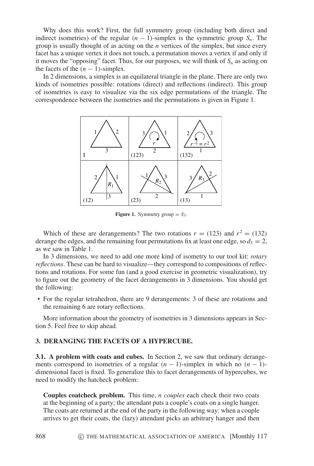Why does this work? First, the full symmetry group (including both direct and indirect isometries) of the regular  $(n - 1)$ -simplex is the symmetric group  $S_n$ . The group is usually thought of as acting on the *n* vertices of the simplex, but since every facet has a unique vertex it does not touch, a permutation moves a vertex if and only if it moves the "opposing" facet. Thus, for our purposes, we will think of  $S_n$  as acting on the facets of the  $(n - 1)$ -simplex.

In 2 dimensions, a simplex is an equilateral triangle in the plane. There are only two kinds of isometries possible: rotations (direct) and reflections (indirect). This group of isometries is easy to visualize via the six edge permutations of the triangle. The correspondence between the isometries and the permutations is given in Figure 1.



**Figure 1.** Symmetry group  $= S_3$ .

Which of these are derangements? The two rotations  $r = (123)$  and  $r^2 = (132)$ derange the edges, and the remaining four permutations fix at least one edge, so  $d_3 = 2$ , as we saw in Table 1.

In 3 dimensions, we need to add one more kind of isometry to our tool kit: *rotary reflections*. These can be hard to visualize—they correspond to compositions of reflections and rotations. For some fun (and a good exercise in geometric visualization), try to figure out the geometry of the facet derangements in 3 dimensions. You should get the following:

• For the regular tetrahedron, there are 9 derangements: 3 of these are rotations and the remaining 6 are rotary reflections.

More information about the geometry of isometries in 3 dimensions appears in Section 5. Feel free to skip ahead.

### **3. DERANGING THE FACETS OF A HYPERCUBE.**

**3.1. A problem with coats and cubes.** In Section 2, we saw that ordinary derangements correspond to isometries of a regular  $(n - 1)$ -simplex in which no  $(n - 1)$ dimensional facet is fixed. To generalize this to facet derangements of hypercubes, we need to modify the hatcheck problem:

**Couples coatcheck problem.** This time, *n couples* each check their two coats at the beginning of a party; the attendant puts a couple's coats on a single hanger. The coats are returned at the end of the party in the following way: when a couple arrives to get their coats, the (lazy) attendant picks an arbitrary hanger and then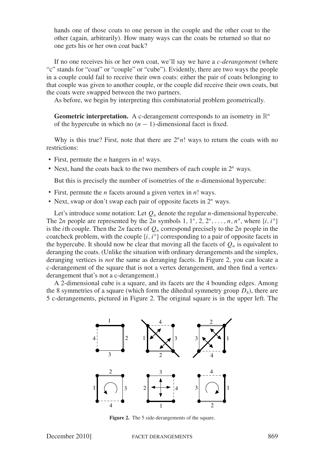hands one of those coats to one person in the couple and the other coat to the other (again, arbitrarily). How many ways can the coats be returned so that no one gets his or her own coat back?

If no one receives his or her own coat, we'll say we have a *c-derangement* (where "c" stands for "coat" or "couple" or "cube"). Evidently, there are two ways the people in a couple could fail to receive their own coats: either the pair of coats belonging to that couple was given to another couple, or the couple did receive their own coats, but the coats were swapped between the two partners.

As before, we begin by interpreting this combinatorial problem geometrically.

**Geometric interpretation.** A c-derangement corresponds to an isometry in  $\mathbb{R}^n$ of the hypercube in which no  $(n - 1)$ -dimensional facet is fixed.

Why is this true? First, note that there are  $2<sup>n</sup>n!$  ways to return the coats with no restrictions:

- First, permute the *n* hangers in *n*! ways.
- Next, hand the coats back to the two members of each couple in 2*<sup>n</sup>* ways.

But this is precisely the number of isometries of the *n*-dimensional hypercube:

- First, permute the *n* facets around a given vertex in *n*! ways.
- Next, swap or don't swap each pair of opposite facets in 2*<sup>n</sup>* ways.

Let's introduce some notation: Let  $Q_n$  denote the regular *n*-dimensional hypercube. The 2*n* people are represented by the 2*n* symbols 1,  $1^*, 2, 2^*, \ldots, n, n^*$ , where  $\{i, i^*\}$ is the *i*th couple. Then the 2*n* facets of  $Q_n$  correspond precisely to the 2*n* people in the coatcheck problem, with the couple  $\{i, i^*\}$  corresponding to a pair of opposite facets in the hypercube. It should now be clear that moving all the facets of  $Q_n$  is equivalent to deranging the coats. (Unlike the situation with ordinary derangements and the simplex, deranging vertices is *not* the same as deranging facets. In Figure 2, you can locate a c-derangement of the square that is not a vertex derangement, and then find a vertexderangement that's not a c-derangement.)

A 2-dimensional cube is a square, and its facets are the 4 bounding edges. Among the 8 symmetries of a square (which form the dihedral symmetry group  $D_4$ ), there are 5 c-derangements, pictured in Figure 2. The original square is in the upper left. The



**Figure 2.** The 5 side-derangements of the square.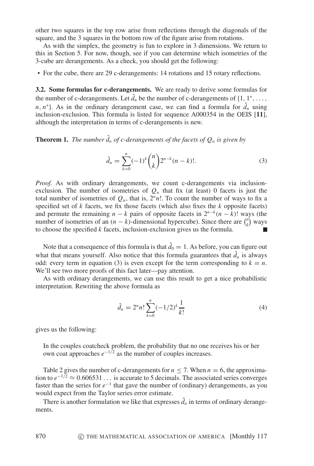other two squares in the top row arise from reflections through the diagonals of the square, and the 3 squares in the bottom row of the figure arise from rotations.

As with the simplex, the geometry is fun to explore in 3 dimensions. We return to this in Section 5. For now, though, see if you can determine which isometries of the 3-cube are derangements. As a check, you should get the following:

• For the cube, there are 29 c-derangements: 14 rotations and 15 rotary reflections.

**3.2. Some formulas for c-derangements.** We are ready to derive some formulas for the number of c-derangements. Let  $\hat{d}_n$  be the number of c-derangements of  $\{1, 1^*, \ldots,$ *n*, *n*<sup>\*</sup>}. As in the ordinary derangement case, we can find a formula for  $\hat{d}_n$  using inclusion-exclusion. This formula is listed for sequence A000354 in the OEIS [**11**], although the interpretation in terms of c-derangements is new.

**Theorem 1.** *The number*  $\hat{d}_n$  *of c-derangements of the facets of*  $Q_n$  *is given by* 

$$
\hat{d}_n = \sum_{k=0}^n (-1)^k \binom{n}{k} 2^{n-k} (n-k)!
$$
 (3)

Proof. As with ordinary derangements, we count c-derangements via inclusionexclusion. The number of isometries of  $Q_n$  that fix (at least) 0 facets is just the total number of isometries of  $Q_n$ , that is,  $2<sup>n</sup>n!$ . To count the number of ways to fix a specified set of *k* facets, we fix those facets (which also fixes the *k* opposite facets) and permute the remaining  $n - k$  pairs of opposite facets in  $2^{n-k}(n - k)!$  ways (the number of isometries of an  $(n - k)$ -dimensional hypercube). Since there are  $\binom{n}{k}$  ways to choose the specified *k* facets, inclusion-exclusion gives us the formula.

Note that a consequence of this formula is that  $\hat{d}_0 = 1$ . As before, you can figure out what that means yourself. Also notice that this formula guarantees that  $\hat{d}_n$  is always odd: every term in equation (3) is even except for the term corresponding to  $k = n$ . We'll see two more proofs of this fact later—pay attention.

As with ordinary derangements, we can use this result to get a nice probabilistic interpretation. Rewriting the above formula as

$$
\hat{d}_n = 2^n n! \sum_{k=0}^n (-1/2)^k \frac{1}{k!}
$$
 (4)

gives us the following:

In the couples coatcheck problem, the probability that no one receives his or her own coat approaches *e*<sup>−</sup>1/<sup>2</sup> as the number of couples increases.

Table 2 gives the number of c-derangements for  $n \le 7$ . When  $n = 6$ , the approximation to  $e^{-1/2} \approx 0.606531...$  is accurate to 5 decimals. The associated series converges faster than the series for *e*<sup>−</sup><sup>1</sup> that gave the number of (ordinary) derangements, as you would expect from the Taylor series error estimate.

There is another formulation we like that expresses  $\hat{d}_n$  in terms of ordinary derangements.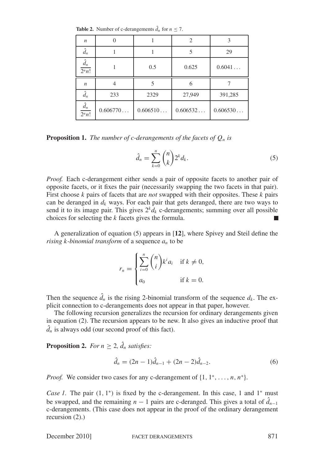| $\boldsymbol{n}$                   | $\Omega$ |          | 2        | 3        |
|------------------------------------|----------|----------|----------|----------|
| $\hat{d}_n$                        |          |          | 5        | 29       |
| $\hat{d}_n$<br>2 <sup>n</sup> n!   |          | 0.5      | 0.625    | 0.6041   |
| $\boldsymbol{n}$                   | 4        | 5        | 6        |          |
| $\hat{d}_n$                        | 233      | 2329     | 27,949   | 391,285  |
| $\hat{d}_n$<br>$\overline{2^n n!}$ | 0.606770 | 0.606510 | 0.606532 | 0.606530 |

**Table 2.** Number of c-derangements  $\hat{d}_n$  for  $n \le 7$ .

**Proposition 1.** *The number of c-derangements of the facets of*  $Q_n$  *is* 

$$
\hat{d}_n = \sum_{k=0}^n \binom{n}{k} 2^k d_k.
$$
\n<sup>(5)</sup>

*Proof.* Each c-derangement either sends a pair of opposite facets to another pair of opposite facets, or it fixes the pair (necessarily swapping the two facets in that pair). First choose *k* pairs of facets that are *not* swapped with their opposites. These *k* pairs can be deranged in  $d_k$  ways. For each pair that gets deranged, there are two ways to send it to its image pair. This gives  $2^k d_k$  c-derangements; summing over all possible choices for selecting the *k* facets gives the formula.

A generalization of equation (5) appears in [**12**], where Spivey and Steil define the *rising k-binomial transform* of a sequence *an* to be

$$
r_n = \begin{cases} \sum_{i=0}^n \binom{n}{i} k^i a_i & \text{if } k \neq 0, \\ a_0 & \text{if } k = 0. \end{cases}
$$

Then the sequence  $\hat{d}_n$  is the rising 2-binomial transform of the sequence  $d_k$ . The explicit connection to c-derangements does not appear in that paper, however.

The following recursion generalizes the recursion for ordinary derangements given in equation (2). The recursion appears to be new. It also gives an inductive proof that  $\hat{d}_n$  is always odd (our second proof of this fact).

**Proposition 2.** *For*  $n \geq 2$ ,  $\hat{d}_n$  *satisfies:* 

$$
\hat{d}_n = (2n - 1)\hat{d}_{n-1} + (2n - 2)\hat{d}_{n-2}.
$$
\n(6)

*Proof.* We consider two cases for any c-derangement of  $\{1, 1^*, \ldots, n, n^*\}$ .

*Case 1.* The pair  $(1, 1<sup>*</sup>)$  is fixed by the c-derangement. In this case, 1 and 1<sup>\*</sup> must be swapped, and the remaining  $n - 1$  pairs are c-deranged. This gives a total of  $\hat{d}_{n-1}$ c-derangements. (This case does not appear in the proof of the ordinary derangement recursion (2).)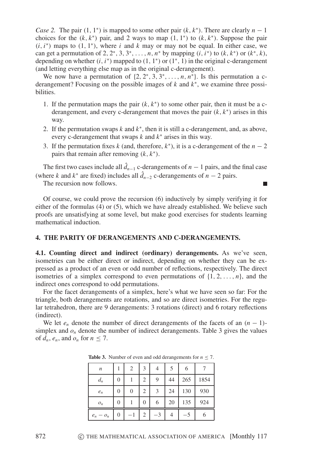*Case 2.* The pair  $(1, 1<sup>*</sup>)$  is mapped to some other pair  $(k, k<sup>*</sup>)$ . There are clearly  $n - 1$ choices for the  $(k, k^*)$  pair, and 2 ways to map  $(1, 1^*)$  to  $(k, k^*)$ . Suppose the pair  $(i, i^*)$  maps to  $(1, 1^*)$ , where *i* and *k* may or may not be equal. In either case, we can get a permutation of 2, 2<sup>\*</sup>, 3, 3<sup>\*</sup>,..., *n*, *n*<sup>\*</sup> by mapping  $(i, i^*)$  to  $(k, k^*)$  or  $(k^*, k)$ , depending on whether  $(i, i^*)$  mapped to  $(1, 1^*)$  or  $(1^*, 1)$  in the original c-derangement (and letting everything else map as in the original c-derangement).

We now have a permutation of  $\{2, 2^*, 3, 3^*, \ldots, n, n^*\}$ . Is this permutation a cderangement? Focusing on the possible images of *k* and *k*<sup>∗</sup>, we examine three possibilities.

- 1. If the permutation maps the pair  $(k, k^*)$  to some other pair, then it must be a cderangement, and every c-derangement that moves the pair  $(k, k^*)$  arises in this way.
- 2. If the permutation swaps *k* and *k*<sup>∗</sup>, then it is still a c-derangement, and, as above, every c-derangement that swaps *k* and *k*<sup>∗</sup> arises in this way.
- 3. If the permutation fixes *k* (and, therefore,  $k^*$ ), it is a c-derangement of the  $n-2$ pairs that remain after removing (*k*, *k*<sup>∗</sup>).

The first two cases include all  $\hat{d}_{n-1}$  c-derangements of  $n-1$  pairs, and the final case (where *k* and  $k^*$  are fixed) includes all  $\hat{d}_{n-2}$  c-derangements of  $n-2$  pairs.

The recursion now follows.

Of course, we could prove the recursion (6) inductively by simply verifying it for either of the formulas (4) or (5), which we have already established. We believe such proofs are unsatisfying at some level, but make good exercises for students learning mathematical induction.

#### **4. THE PARITY OF DERANGEMENTS AND C-DERANGEMENTS.**

**4.1. Counting direct and indirect (ordinary) derangements.** As we've seen, isometries can be either direct or indirect, depending on whether they can be expressed as a product of an even or odd number of reflections, respectively. The direct isometries of a simplex correspond to even permutations of  $\{1, 2, \ldots, n\}$ , and the indirect ones correspond to odd permutations.

For the facet derangements of a simplex, here's what we have seen so far: For the triangle, both derangements are rotations, and so are direct isometries. For the regular tetrahedron, there are 9 derangements: 3 rotations (direct) and 6 rotary reflections (indirect).

We let  $e_n$  denote the number of direct derangements of the facets of an  $(n - 1)$ simplex and  $o_n$  denote the number of indirect derangements. Table 3 gives the values of  $d_n$ ,  $e_n$ , and  $o_n$  for  $n \leq 7$ .

| $\boldsymbol{n}$ |                | 2              | $\mathcal{F}$ |    |    | 6   |      |
|------------------|----------------|----------------|---------------|----|----|-----|------|
| $d_n$            | $\overline{0}$ |                | 2             | 9  | 44 | 265 | 1854 |
| $e_n$            | $\overline{0}$ | $\overline{0}$ | 2             | 3  | 24 | 130 | 930  |
| $O_n$            | $\overline{0}$ |                | 0             | 6  | 20 | 135 | 924  |
| $e_n - o_n$      | 0              | -1             | 2             | -3 |    | -5  | 6    |

**Table 3.** Number of even and odd derangements for  $n \le 7$ .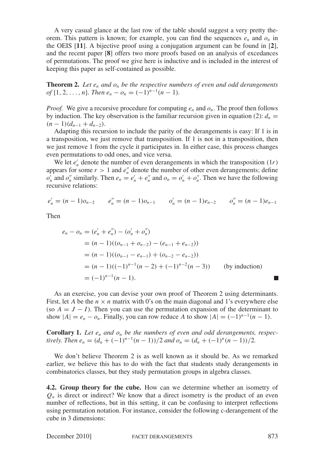A very casual glance at the last row of the table should suggest a very pretty theorem. This pattern is known; for example, you can find the sequences  $e_n$  and  $o_n$  in the OEIS [**11**]. A bijective proof using a conjugation argument can be found in [**2**], and the recent paper [**8**] offers two more proofs based on an analysis of excedances of permutations. The proof we give here is inductive and is included in the interest of keeping this paper as self-contained as possible.

**Theorem 2.** Let  $e_n$  and  $o_n$  be the respective numbers of even and odd derangements *of*  $\{1, 2, ..., n\}$ *. Then*  $e_n - o_n = (-1)^{n-1}(n-1)$ *.* 

*Proof.* We give a recursive procedure for computing  $e_n$  and  $o_n$ . The proof then follows by induction. The key observation is the familiar recursion given in equation (2):  $d_n =$  $(n-1)(d_{n-1} + d_{n-2}).$ 

Adapting this recursion to include the parity of the derangements is easy: If 1 is in a transposition, we just remove that transposition. If 1 is not in a transposition, then we just remove 1 from the cycle it participates in. In either case, this process changes even permutations to odd ones, and vice versa.

We let  $e'_n$  denote the number of even derangements in which the transposition  $(1r)$ appears for some  $r > 1$  and  $e''_n$  denote the number of other even derangements; define  $o'_n$  and  $o''_n$  similarly. Then  $e_n = e'_n + e''_n$  and  $o_n = o'_n + o''_n$ . Then we have the following recursive relations:

$$
e'_n = (n-1)o_{n-2}
$$
  $e''_n = (n-1)o_{n-1}$   $o'_n = (n-1)e_{n-2}$   $o''_n = (n-1)e_{n-1}$ 

Then

$$
e_n - o_n = (e'_n + e''_n) - (o'_n + o''_n)
$$
  
=  $(n - 1)((o_{n-1} + o_{n-2}) - (e_{n-1} + e_{n-2}))$   
=  $(n - 1)((o_{n-1} - e_{n-1}) + (o_{n-2} - e_{n-2}))$   
=  $(n - 1)((-1)^{n-1}(n - 2) + (-1)^{n-2}(n - 3))$  (by induction)  
=  $(-1)^{n-1}(n - 1).$ 

As an exercise, you can devise your own proof of Theorem 2 using determinants. First, let *A* be the  $n \times n$  matrix with 0's on the main diagonal and 1's everywhere else (so  $A = J - I$ ). Then you can use the permutation expansion of the determinant to show  $|A| = e_n - o_n$ . Finally, you can row reduce A to show  $|A| = (-1)^{n-1}(n-1)$ .

**Corollary 1.** Let  $e_n$  and  $o_n$  be the numbers of even and odd derangements, respec*tively. Then e<sub>n</sub>* =  $(d_n + (-1)^{n-1}(n-1))/2$  *and o<sub>n</sub>* =  $(d_n + (-1)^n(n-1))/2$ .

We don't believe Theorem 2 is as well known as it should be. As we remarked earlier, we believe this has to do with the fact that students study derangements in combinatorics classes, but they study permutation groups in algebra classes.

**4.2. Group theory for the cube.** How can we determine whether an isometry of  $Q_n$  is direct or indirect? We know that a direct isometry is the product of an even number of reflections, but in this setting, it can be confusing to interpret reflections using permutation notation. For instance, consider the following c-derangement of the cube in 3 dimensions:

December 2010] FACET DERANGEMENTS 873

П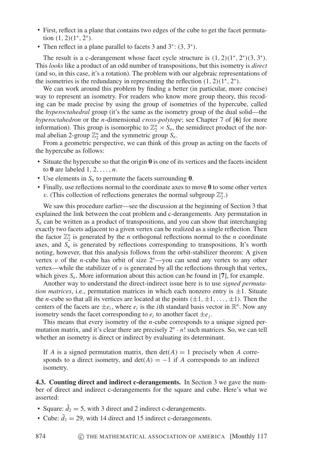- First, reflect in a plane that contains two edges of the cube to get the facet permutation  $(1, 2)(1^*, 2^*)$ .
- Then reflect in a plane parallel to facets 3 and 3<sup>\*</sup>: (3, 3<sup>\*</sup>).

The result is a c-derangement whose facet cycle structure is  $(1, 2)(1^*, 2^*)(3, 3^*)$ . This *looks* like a product of an odd number of transpositions, but this isometry is *direct* (and so, in this case, it's a rotation). The problem with our algebraic representations of the isometries is the redundancy in representing the reflection  $(1, 2)(1^*, 2^*)$ .

We can work around this problem by finding a better (in particular, more concise) way to represent an isometry. For readers who know more group theory, this recoding can be made precise by using the group of isometries of the hypercube, called the *hyperoctahedral* group (it's the same as the isometry group of the dual solid—the *hyperoctahedron* or the *n*-dimensional *cross-polytope*; see Chapter 7 of [**6**] for more information). This group is isomorphic to  $\mathbb{Z}_2^n \rtimes S_n$ , the semidirect product of the normal abelian 2-group  $\mathbb{Z}_2^n$  and the symmetric group  $S_n$ .

From a geometric perspective, we can think of this group as acting on the facets of the hypercube as follows:

- Situate the hypercube so that the origin **0** is one of its vertices and the facets incident to  $\mathbf{0}$  are labeled  $1, 2, \ldots, n$ .
- Use elements in  $S_n$  to permute the facets surrounding  $\mathbf{0}$ .
- Finally, use reflections normal to the coordinate axes to move **0** to some other vertex v. (This collection of reflections generates the normal subgroup  $\mathbb{Z}_2^n$ .)

We saw this procedure earlier—see the discussion at the beginning of Section 3 that explained the link between the coat problem and c-derangements. Any permutation in  $S_n$  can be written as a product of transpositions, and you can show that interchanging exactly two facets adjacent to a given vertex can be realized as a single reflection. Then the factor  $\mathbb{Z}_2^n$  is generated by the *n* orthogonal reflections normal to the *n* coordinate axes, and  $S_n$  is generated by reflections corresponding to transpositions. It's worth noting, however, that this analysis follows from the orbit-stabilizer theorem: A given vertex v of the *n*-cube has orbit of size  $2^n$ —you can send any vertex to any other vertex—while the stabilizer of  $v$  is generated by all the reflections through that vertex, which gives  $S_n$ . More information about this action can be found in [7], for example.

Another way to understand the direct-indirect issue here is to use *signed permutation matrices*, i.e., permutation matrices in which each nonzero entry is  $\pm 1$ . Situate the *n*-cube so that all its vertices are located at the points  $(\pm 1, \pm 1, \ldots, \pm 1)$ . Then the centers of the facets are  $\pm e_i$ , where  $e_i$  is the *i*th standard basis vector in  $\mathbb{R}^n$ . Now any isometry sends the facet corresponding to  $e_i$  to another facet  $\pm e_i$ .

This means that every isometry of the *n*-cube corresponds to a unique signed permutation matrix, and it's clear there are precisely  $2^n \cdot n!$  such matrices. So, we can tell whether an isometry is direct or indirect by evaluating its determinant.

If *A* is a signed permutation matrix, then  $det(A) = 1$  precisely when *A* corresponds to a direct isometry, and  $det(A) = -1$  if *A* corresponds to an indirect isometry.

**4.3. Counting direct and indirect c-derangements.** In Section 3 we gave the number of direct and indirect c-derangements for the square and cube. Here's what we asserted:

- Square:  $\hat{d}_2 = 5$ , with 3 direct and 2 indirect c-derangements.
- Cube:  $\hat{d}_3 = 29$ , with 14 direct and 15 indirect c-derangements.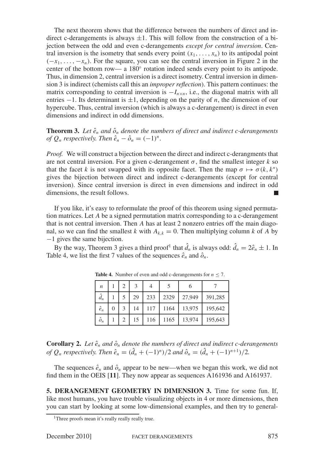The next theorem shows that the difference between the numbers of direct and indirect c-derangements is always  $\pm 1$ . This will follow from the construction of a bijection between the odd and even c-derangements *except for central inversion*. Central inversion is the isometry that sends every point  $(x_1, \ldots, x_n)$  to its antipodal point  $(-x_1, \ldots, -x_n)$ . For the square, you can see the central inversion in Figure 2 in the center of the bottom row— a 180◦ rotation indeed sends every point to its antipode. Thus, in dimension 2, central inversion is a direct isometry. Central inversion in dimension 3 is indirect (chemists call this an *improper reflection*). This pattern continues: the matrix corresponding to central inversion is  $-I_{n \times n}$ , i.e., the diagonal matrix with all entries −1. Its determinant is ±1, depending on the parity of *n*, the dimension of our hypercube. Thus, central inversion (which is always a c-derangement) is direct in even dimensions and indirect in odd dimensions.

**Theorem 3.** Let  $\hat{e}_n$  and  $\hat{o}_n$  denote the numbers of direct and indirect c-derangements *of*  $Q_n$  *respectively. Then*  $\hat{e}_n - \hat{o}_n = (-1)^n$ .

*Proof.* We will construct a bijection between the direct and indirect c-derangments that are not central inversion. For a given c-derangement  $\sigma$ , find the smallest integer *k* so that the facet *k* is not swapped with its opposite facet. Then the map  $\sigma \mapsto \sigma(k, k^*)$ gives the bijection between direct and indirect c-derangements (except for central inversion). Since central inversion is direct in even dimensions and indirect in odd dimensions, the result follows.

If you like, it's easy to reformulate the proof of this theorem using signed permutation matrices. Let *A* be a signed permutation matrix corresponding to a c-derangement that is not central inversion. Then *A* has at least 2 nonzero entries off the main diagonal, so we can find the smallest *k* with  $A_{k,k} = 0$ . Then multiplying column *k* of *A* by −1 gives the same bijection.

By the way, Theorem 3 gives a third proof<sup>1</sup> that  $\hat{d}_n$  is always odd:  $\hat{d}_n = 2\hat{e}_n \pm 1$ . In Table 4, we list the first 7 values of the sequences  $\hat{e}_n$  and  $\hat{o}_n$ .

| $\boldsymbol{n}$ |   |   |    |     |      |        |         |
|------------------|---|---|----|-----|------|--------|---------|
| $\hat{d}_n$      |   |   | 29 | 233 | 2329 | 27,949 | 391,285 |
| $\hat{e}_n$      | 0 | 3 | 14 | 117 | 1164 | 13,975 | 195,642 |
| $\hat{o}_n$      |   | 2 | 15 | 116 | 1165 | 13,974 | 195,643 |

**Table 4.** Number of even and odd c-derangements for  $n \le 7$ .

**Corollary 2.** Let  $\hat{e}_n$  and  $\hat{o}_n$  denote the numbers of direct and indirect c-derangements *of*  $Q_n$  *respectively. Then*  $\hat{e}_n = (\hat{d}_n + (-1)^n)/2$  *and*  $\hat{o}_n = (\hat{d}_n + (-1)^{n+1})/2$ *.* 

The sequences  $\hat{e}_n$  and  $\hat{o}_n$  appear to be new—when we began this work, we did not find them in the OEIS [**11**]. They now appear as sequences A161936 and A161937.

**5. DERANGEMENT GEOMETRY IN DIMENSION 3.** Time for some fun. If, like most humans, you have trouble visualizing objects in 4 or more dimensions, then you can start by looking at some low-dimensional examples, and then try to general-

<sup>&</sup>lt;sup>1</sup>Three proofs mean it's really really really true.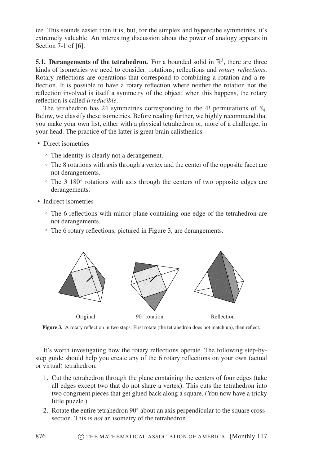ize. This sounds easier than it is, but, for the simplex and hypercube symmetries, it's extremely valuable. An interesting discussion about the power of analogy appears in Section 7-1 of [**6**].

**5.1. Derangements of the tetrahedron.** For a bounded solid in  $\mathbb{R}^3$ , there are three kinds of isometries we need to consider: rotations, reflections and *rotary reflections*. Rotary reflections are operations that correspond to combining a rotation and a reflection. It is possible to have a rotary reflection where neither the rotation nor the reflection involved is itself a symmetry of the object; when this happens, the rotary reflection is called *irreducible*.

The tetrahedron has 24 symmetries corresponding to the 4! permutations of *S*4. Below, we classify these isometries. Before reading further, we highly recommend that you make your own list, either with a physical tetrahedron or, more of a challenge, in your head. The practice of the latter is great brain calisthenics.

- Direct isometries
	- The identity is clearly not a derangement.
	- The 8 rotations with axis through a vertex and the center of the opposite facet are not derangements.
	- The 3 180◦ rotations with axis through the centers of two opposite edges are derangements.
- Indirect isometries

876

- The 6 reflections with mirror plane containing one edge of the tetrahedron are not derangements.
- The 6 rotary reflections, pictured in Figure 3, are derangements.



**Figure 3.** A rotary reflection in two steps: First rotate (the tetrahedron does not match up), then reflect.

It's worth investigating how the rotary reflections operate. The following step-bystep guide should help you create any of the 6 rotary reflections on your own (actual or virtual) tetrahedron.

- 1. Cut the tetrahedron through the plane containing the centers of four edges (take all edges except two that do not share a vertex). This cuts the tetrahedron into two congruent pieces that get glued back along a square. (You now have a tricky little puzzle.)
- 2. Rotate the entire tetrahedron 90◦ about an axis perpendicular to the square crosssection. This is *not* an isometry of the tetrahedron.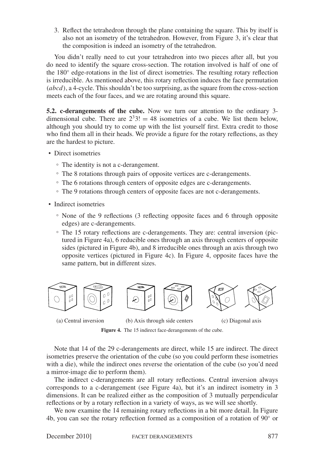3. Reflect the tetrahedron through the plane containing the square. This by itself is also not an isometry of the tetrahedron. However, from Figure 3, it's clear that the composition is indeed an isometry of the tetrahedron.

You didn't really need to cut your tetrahedron into two pieces after all, but you do need to identify the square cross-section. The rotation involved is half of one of the 180◦ edge-rotations in the list of direct isometries. The resulting rotary reflection is irreducible. As mentioned above, this rotary reflection induces the face permutation (*abcd*), a 4-cycle. This shouldn't be too surprising, as the square from the cross-section meets each of the four faces, and we are rotating around this square.

**5.2. c-derangements of the cube.** Now we turn our attention to the ordinary 3 dimensional cube. There are  $2^{3}3! = 48$  isometries of a cube. We list them below, although you should try to come up with the list yourself first. Extra credit to those who find them all in their heads. We provide a figure for the rotary reflections, as they are the hardest to picture.

- Direct isometries
	- The identity is not a c-derangement.
	- The 8 rotations through pairs of opposite vertices are c-derangements.
	- The 6 rotations through centers of opposite edges are c-derangements.
	- The 9 rotations through centers of opposite faces are not c-derangements.
- Indirect isometries
	- None of the 9 reflections (3 reflecting opposite faces and 6 through opposite edges) are c-derangements.
	- The 15 rotary reflections are c-derangements. They are: central inversion (pictured in Figure 4a), 6 reducible ones through an axis through centers of opposite sides (pictured in Figure 4b), and 8 irreducible ones through an axis through two opposite vertices (pictured in Figure 4c). In Figure 4, opposite faces have the same pattern, but in different sizes.



(a) Central inversion (b) Axis through side centers (c) Diagonal axis



**Figure 4.** The 15 indirect face-derangements of the cube.

Note that 14 of the 29 c-derangements are direct, while 15 are indirect. The direct isometries preserve the orientation of the cube (so you could perform these isometries with a die), while the indirect ones reverse the orientation of the cube (so you'd need a mirror-image die to perform them).

The indirect c-derangements are all rotary reflections. Central inversion always corresponds to a c-derangement (see Figure 4a), but it's an indirect isometry in 3 dimensions. It can be realized either as the composition of 3 mutually perpendicular reflections or by a rotary reflection in a variety of ways, as we will see shortly.

We now examine the 14 remaining rotary reflections in a bit more detail. In Figure 4b, you can see the rotary reflection formed as a composition of a rotation of 90◦ or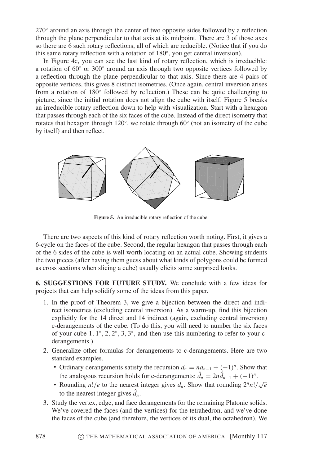270◦ around an axis through the center of two opposite sides followed by a reflection through the plane perpendicular to that axis at its midpoint. There are 3 of those axes so there are 6 such rotary reflections, all of which are reducible. (Notice that if you do this same rotary reflection with a rotation of 180◦, you get central inversion).

In Figure 4c, you can see the last kind of rotary reflection, which is irreducible: a rotation of 60◦ or 300◦ around an axis through two opposite vertices followed by a reflection through the plane perpendicular to that axis. Since there are 4 pairs of opposite vertices, this gives 8 distinct isometries. (Once again, central inversion arises from a rotation of 180◦ followed by reflection.) These can be quite challenging to picture, since the initial rotation does not align the cube with itself. Figure 5 breaks an irreducible rotary reflection down to help with visualization. Start with a hexagon that passes through each of the six faces of the cube. Instead of the direct isometry that rotates that hexagon through  $120°$ , we rotate through 60 $°$  (not an isometry of the cube by itself) and then reflect.



**Figure 5.** An irreducible rotary reflection of the cube.

There are two aspects of this kind of rotary reflection worth noting. First, it gives a 6-cycle on the faces of the cube. Second, the regular hexagon that passes through each of the 6 sides of the cube is well worth locating on an actual cube. Showing students the two pieces (after having them guess about what kinds of polygons could be formed as cross sections when slicing a cube) usually elicits some surprised looks.

**6. SUGGESTIONS FOR FUTURE STUDY.** We conclude with a few ideas for projects that can help solidify some of the ideas from this paper.

- 1. In the proof of Theorem 3, we give a bijection between the direct and indirect isometries (excluding central inversion). As a warm-up, find this bijection explicitly for the 14 direct and 14 indirect (again, excluding central inversion) c-derangements of the cube. (To do this, you will need to number the six faces of your cube 1, 1<sup>∗</sup>, 2, 2<sup>∗</sup>, 3, 3<sup>∗</sup>, and then use this numbering to refer to your cderangements.)
- 2. Generalize other formulas for derangements to c-derangements. Here are two standard examples.
	- Ordinary derangements satisfy the recursion  $d_n = nd_{n-1} + (-1)^n$ . Show that the analogous recursion holds for c-derangements:  $\hat{d}_n = 2n\hat{d}_{n-1} + (-1)^n$ .
	- Rounding *n*!/*e* to the nearest integer gives  $d_n$ . Show that rounding  $2^n n! / \sqrt{e}$ to the nearest integer gives  $\hat{d}_n$ .
- 3. Study the vertex, edge, and face derangements for the remaining Platonic solids. We've covered the faces (and the vertices) for the tetrahedron, and we've done the faces of the cube (and therefore, the vertices of its dual, the octahedron). We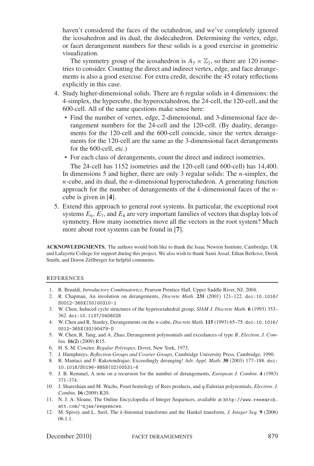haven't considered the faces of the octahedron, and we've completely ignored the icosahedron and its dual, the dodecahedron. Determining the vertex, edge, or facet derangement numbers for these solids is a good exercise in geometric visualization.

The symmetry group of the icosahedron is  $A_5 \times \mathbb{Z}_2$ , so there are 120 isometries to consider. Counting the direct and indirect vertex, edge, and face derangements is also a good exercise. For extra credit, describe the 45 rotary reflections explicitly in this case.

- 4. Study higher-dimensional solids. There are 6 regular solids in 4 dimensions: the 4-simplex, the hypercube, the hyperoctahedron, the 24-cell, the 120-cell, and the 600-cell. All of the same questions make sense here:
	- Find the number of vertex, edge, 2-dimensional, and 3-dimensional face derangement numbers for the 24-cell and the 120-cell. (By duality, derangements for the 120-cell and the 600-cell coincide, since the vertex derangements for the 120-cell are the same as the 3-dimensional facet derangements for the 600-cell, etc.)
	- For each class of derangements, count the direct and indirect isometries.

The 24-cell has 1152 isometries and the 120-cell (and 600-cell) has 14,400. In dimensions 5 and higher, there are only 3 regular solids: The *n*-simplex, the *n*-cube, and its dual, the *n*-dimensional hyperoctahedron. A generating function approach for the number of derangements of the *k*-dimensional faces of the *n*cube is given in [**4**].

5. Extend this approach to general root systems. In particular, the exceptional root systems  $E_6$ ,  $E_7$ , and  $E_8$  are very important families of vectors that display lots of symmetry. How many isometries move all the vectors in the root system? Much more about root systems can be found in [**7**].

**ACKNOWLEDGMENTS.** The authors would both like to thank the Isaac Newton Institute, Cambridge, UK and Lafayette College for support during this project. We also wish to thank Sami Assaf, Ethan Berkove, Derek Smith, and Doron Zeilberger for helpful comments.

#### REFERENCES

- 1. R. Brualdi, *Introductory Combinatorics*, Pearson Prentice Hall, Upper Saddle River, NJ, 2004.
- 2. R. Chapman, An involution on derangements, *Discrete Math.* **231** (2001) 121–122. doi:10.1016/ S0012-365X(00)00310-1
- 3. W. Chen, Induced cycle structures of the hyperoctahedral group, *SIAM J. Discrete Math.* **6** (1993) 353– 362. doi:10.1137/0406028
- 4. W. Chen and R. Stanley, Derangements on the *n*-cube, *Discrete Math.* **115** (1993) 65–75. doi:10.1016/ 0012-365X(93)90479-D
- 5. W. Chen, R. Tang, and A. Zhao, Derangement polynomials and excedances of type *B*, *Electron. J. Combin.* **16(2)** (2009) R15.
- 6. H. S. M. Coxeter, *Regular Polytopes*, Dover, New York, 1973.
- 7. J. Humphreys, *Reflection Groups and Coxeter Groups*, Cambridge University Press, Cambridge, 1990.
- 8. R. Mantaci and F. Rakotondrajao, Exceedingly deranging! *Adv. Appl. Math.* **30** (2003) 177–188. doi: 10.1016/S0196-8858(02)00531-6
- 9. J. B. Remmel, A note on a recursion for the number of derangements, *European J. Combin.* **4** (1983) 371–374.
- 10. J. Shareshian and M. Wachs, Poset homology of Rees products, and q-Eulerian polynomials, *Electron. J. Combin.* **16** (2009) R20.
- 11. N. J. A. Sloane, The Online Encyclopedia of Integer Sequences, available at http://www.research. att.com/~njas/sequences.
- 12. M. Spivey and L. Steil, The *k*-binomial transforms and the Hankel transform, *J. Integer Seq.* **9** (2006) 06.1.1.